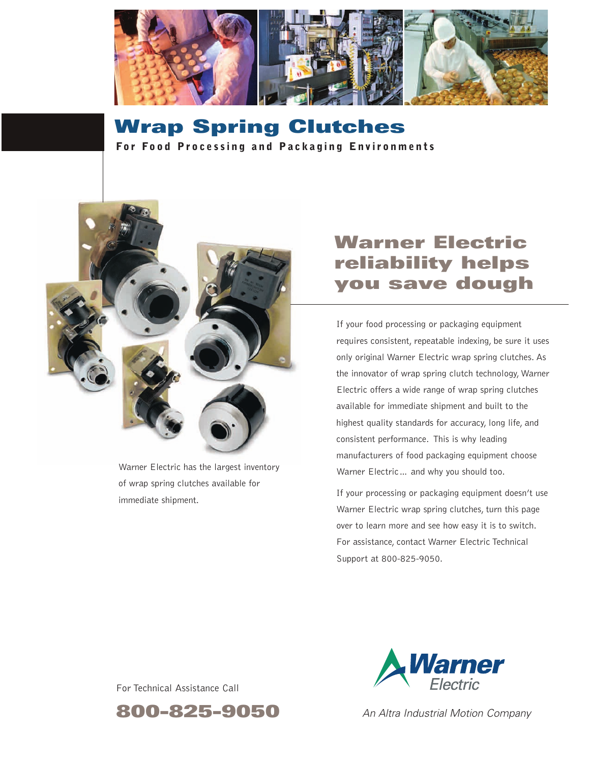

**Wrap Spring Clutches For Food Processing and Packaging Environments** 



Warner Electric has the largest inventory of wrap spring clutches available for immediate shipment.

# **Warner Electric reliability helps you save dough**

If your food processing or packaging equipment requires consistent, repeatable indexing, be sure it uses only original Warner Electric wrap spring clutches. As the innovator of wrap spring clutch technology, Warner Electric offers a wide range of wrap spring clutches available for immediate shipment and built to the highest quality standards for accuracy, long life, and consistent performance. This is why leading manufacturers of food packaging equipment choose Warner Electric… and why you should too.

If your processing or packaging equipment doesn't use Warner Electric wrap spring clutches, turn this page over to learn more and see how easy it is to switch. For assistance, contact Warner Electric Technical Support at 800-825-9050.



For Technical Assistance Call